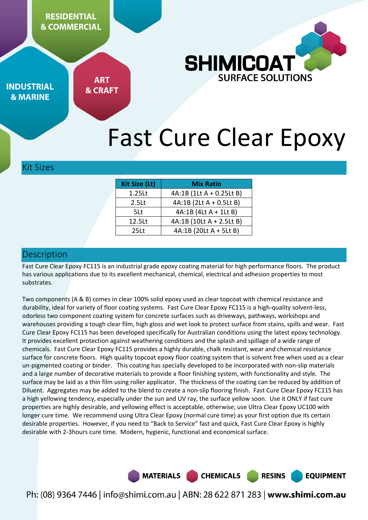**RESIDENTIAL & COMMERCIAL** 



**INDUSTRIAL & MARINE** 

**ART & CRAFT** 

# Fast Cure Clear Epoxy

#### Kit Sizes

| <b>Kit Size (Lt)</b> | <b>Mix Ratio</b>         |  |  |
|----------------------|--------------------------|--|--|
| 1.25Lt               | 4A:1B (1Lt A + 0.25Lt B) |  |  |
| 2.5 <sub>kt</sub>    | $4A:1B(2Lt A + 0.5Lt B)$ |  |  |
| 5Lt                  | 4A:1B (4Lt A + 1Lt B)    |  |  |
| 12.5Lt               | 4A:1B (10Lt A + 2.5Lt B) |  |  |
| 25 <sub>Lt</sub>     | 4A:1B (20Lt A + 5Lt B)   |  |  |

## Description

Fast Cure Clear Epoxy FC115 is an industrial grade epoxy coating material for high performance floors. The product has various applications due to its excellent mechanical, chemical, electrical and adhesion properties to most substrates.

Two components (A & B) comes in clear 100% solid epoxy used as clear topcoat with chemical resistance and durability, ideal for variety of floor coating systems. Fast Cure Clear Epoxy FC115 is a high-quality solvent-less, odorless two component coating system for concrete surfaces such as driveways, pathways, workshops and warehouses providing a tough clear film, high gloss and wet look to protect surface from stains, spills and wear. Fast Cure Clear Epoxy FC115 has been developed specifically for Australian conditions using the latest epoxy technology. It provides excellent protection against weathering conditions and the splash and spillage of a wide range of chemicals. Fast Cure Clear Epoxy FC115 provides a highly durable, chalk resistant, wear and chemical resistance surface for concrete floors. High quality topcoat epoxy floor coating system that is solvent free when used as a clear un-pigmented coating or binder. This coating has specially developed to be incorporated with non-slip materials and a large number of decorative materials to provide a floor finishing system, with functionality and style. The surface may be laid as a thin film using roller applicator. The thickness of the coating can be reduced by addition of Diluent. Aggregates may be added to the blend to create a non-slip flooring finish. Fast Cure Clear Epoxy FC115 has a high yellowing tendency, especially under the sun and UV ray, the surface yellow soon. Use it ONLY if fast cure properties are highly desirable, and yellowing effect is acceptable, otherwise; use Ultra Clear Epoxy UC100 with longer cure time. We recommend using Ultra Clear Epoxy (normal cure time) as your first option due its certain desirable properties. However, if you need to "Back to Service" fast and quick, Fast Cure Clear Epoxy is highly desirable with 2-3hours cure time. Modern, hygienic, functional and economical surface.

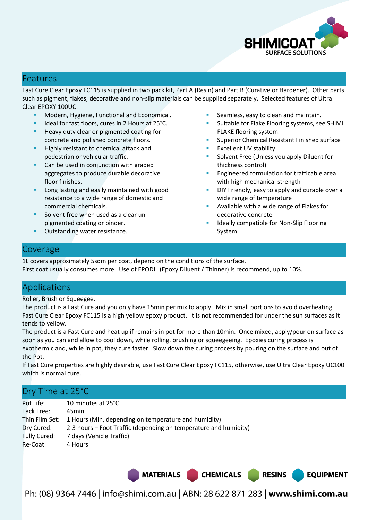

#### Features

Fast Cure Clear Epoxy FC115 is supplied in two pack kit, Part A (Resin) and Part B (Curative or Hardener). Other parts such as pigment, flakes, decorative and non-slip materials can be supplied separately. Selected features of Ultra Clear EPOXY 100UC:

- Modern, Hygiene, Functional and Economical.
- Ideal for fast floors, cures in 2 Hours at 25°C.
- Heavy duty clear or pigmented coating for concrete and polished concrete floors.
- Highly resistant to chemical attack and pedestrian or vehicular traffic.
- **Can be used in conjunction with graded** aggregates to produce durable decorative floor finishes.
- Long lasting and easily maintained with good resistance to a wide range of domestic and commercial chemicals.
- Solvent free when used as a clear unpigmented coating or binder.
- Outstanding water resistance.
- Seamless, easy to clean and maintain.
- Suitable for Flake Flooring systems, see SHIMI FLAKE flooring system.
- Superior Chemical Resistant Finished surface
- Excellent UV stability
- Solvent Free (Unless you apply Diluent for thickness control)
- Engineered formulation for trafficable area with high mechanical strength
- DIY Friendly, easy to apply and curable over a wide range of temperature

**EQUIPMENT** 

- Available with a wide range of Flakes for decorative concrete
- Ideally compatible for Non-Slip Flooring System.

### Coverage

1L covers approximately 5sqm per coat, depend on the conditions of the surface. First coat usually consumes more. Use of EPODIL (Epoxy Diluent / Thinner) is recommend, up to 10%.

# Applications

Roller, Brush or Squeegee.

The product is a Fast Cure and you only have 15min per mix to apply. Mix in small portions to avoid overheating. Fast Cure Clear Epoxy FC115 is a high yellow epoxy product. It is not recommended for under the sun surfaces as it tends to yellow.

The product is a Fast Cure and heat up if remains in pot for more than 10min. Once mixed, apply/pour on surface as soon as you can and allow to cool down, while rolling, brushing or squeegeeing. Epoxies curing process is exothermic and, while in pot, they cure faster. Slow down the curing process by pouring on the surface and out of the Pot.

If Fast Cure properties are highly desirable, use Fast Cure Clear Epoxy FC115, otherwise, use Ultra Clear Epoxy UC100 which is normal cure.

# Dry Time at 25°C

| 10 minutes at 25°C                                                  |
|---------------------------------------------------------------------|
| 45min                                                               |
| Thin Film Set: 1 Hours (Min, depending on temperature and humidity) |
| 2-3 hours – Foot Traffic (depending on temperature and humidity)    |
| 7 days (Vehicle Traffic)                                            |
| 4 Hours                                                             |
|                                                                     |

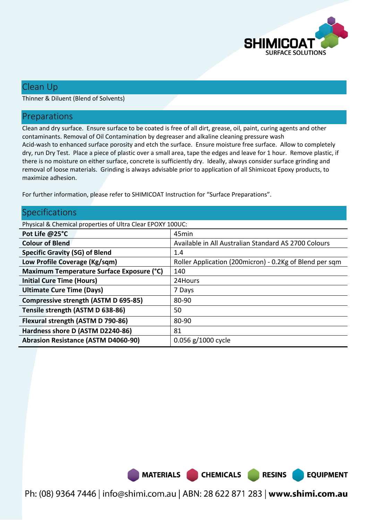

**EQUIPMENT** 

# Clean Up

Thinner & Diluent (Blend of Solvents)

## Preparations

Clean and dry surface. Ensure surface to be coated is free of all dirt, grease, oil, paint, curing agents and other contaminants. Removal of Oil Contamination by degreaser and alkaline cleaning pressure wash Acid-wash to enhanced surface porosity and etch the surface. Ensure moisture free surface. Allow to completely dry, run Dry Test. Place a piece of plastic over a small area, tape the edges and leave for 1 hour. Remove plastic, if there is no moisture on either surface, concrete is sufficiently dry. Ideally, always consider surface grinding and removal of loose materials. Grinding is always advisable prior to application of all Shimicoat Epoxy products, to maximize adhesion.

For further information, please refer to SHIMICOAT Instruction for "Surface Preparations".

### Specifications

Physical & Chemical properties of Ultra Clear EPOXY 100UC:

| Pot Life @25°C                             | 45min                                                    |  |
|--------------------------------------------|----------------------------------------------------------|--|
| <b>Colour of Blend</b>                     | Available in All Australian Standard AS 2700 Colours     |  |
| <b>Specific Gravity (SG) of Blend</b>      | 1.4                                                      |  |
| Low Profile Coverage (Kg/sqm)              | Roller Application (200 micron) - 0.2Kg of Blend per sqm |  |
| Maximum Temperature Surface Exposure (°C)  | 140                                                      |  |
| <b>Initial Cure Time (Hours)</b>           | 24Hours                                                  |  |
| <b>Ultimate Cure Time (Days)</b>           | 7 Days                                                   |  |
| Compressive strength (ASTM D 695-85)       | 80-90                                                    |  |
| Tensile strength (ASTM D 638-86)           | 50                                                       |  |
| Flexural strength (ASTM D 790-86)          | 80-90                                                    |  |
| Hardness shore D (ASTM D2240-86)           | 81                                                       |  |
| <b>Abrasion Resistance (ASTM D4060-90)</b> | $0.056$ g/1000 cycle                                     |  |

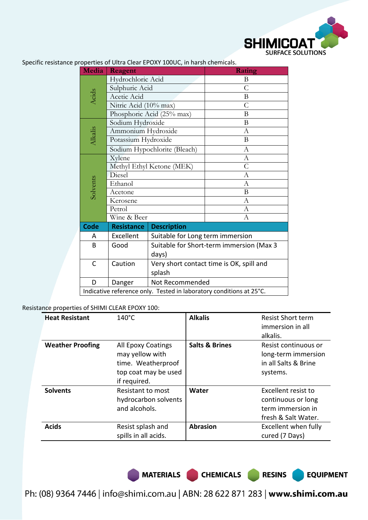

| <b>Media</b>                                                        | Reagent                      |                                          | Rating         |  |  |
|---------------------------------------------------------------------|------------------------------|------------------------------------------|----------------|--|--|
|                                                                     | Hydrochloric Acid            |                                          | B              |  |  |
|                                                                     | Sulphuric Acid               |                                          | $\overline{C}$ |  |  |
| Acids                                                               | Acetic Acid                  |                                          | B              |  |  |
|                                                                     |                              |                                          | $\overline{C}$ |  |  |
|                                                                     | Nitric Acid (10% max)        |                                          | B              |  |  |
| Phosphoric Acid (25% max)                                           |                              |                                          |                |  |  |
| Sodium Hydroxide<br>Alkalis<br>Ammonium Hydroxide                   |                              |                                          | B              |  |  |
|                                                                     |                              |                                          | A              |  |  |
|                                                                     | Potassium Hydroxide          |                                          | B              |  |  |
|                                                                     | Sodium Hypochlorite (Bleach) |                                          | $\overline{A}$ |  |  |
|                                                                     | Xylene                       |                                          | $\mathbf{A}$   |  |  |
|                                                                     | Methyl Ethyl Ketone (MEK)    |                                          | $\overline{C}$ |  |  |
|                                                                     | Diesel                       |                                          | А              |  |  |
| Solvents                                                            | Ethanol                      |                                          | A              |  |  |
|                                                                     | Acetone                      |                                          | B              |  |  |
|                                                                     | Kerosene                     |                                          | А              |  |  |
|                                                                     | Petrol                       |                                          | А              |  |  |
|                                                                     | Wine & Beer                  |                                          | A              |  |  |
| Code                                                                | <b>Resistance</b>            | <b>Description</b>                       |                |  |  |
| Α                                                                   | Excellent                    | Suitable for Long term immersion         |                |  |  |
| B                                                                   | Good                         | Suitable for Short-term immersion (Max 3 |                |  |  |
|                                                                     |                              | days)                                    |                |  |  |
| C                                                                   | Caution                      | Very short contact time is OK, spill and |                |  |  |
|                                                                     |                              |                                          |                |  |  |
|                                                                     |                              | splash                                   |                |  |  |
| D                                                                   | Danger                       | Not Recommended                          |                |  |  |
| Indicative reference only. Tested in laboratory conditions at 25°C. |                              |                                          |                |  |  |

Specific resistance properties of Ultra Clear EPOXY 100UC, in harsh chemicals.

#### Resistance properties of SHIMI CLEAR EPOXY 100:

| <b>Heat Resistant</b>   | $140^{\circ}$ C                                                                                     | <b>Alkalis</b>            | <b>Resist Short term</b><br>immersion in all<br>alkalis.                              |
|-------------------------|-----------------------------------------------------------------------------------------------------|---------------------------|---------------------------------------------------------------------------------------|
| <b>Weather Proofing</b> | All Epoxy Coatings<br>may yellow with<br>time. Weatherproof<br>top coat may be used<br>if required. | <b>Salts &amp; Brines</b> | Resist continuous or<br>long-term immersion<br>in all Salts & Brine<br>systems.       |
| <b>Solvents</b>         | Resistant to most<br>hydrocarbon solvents<br>and alcohols.                                          | Water                     | Excellent resist to<br>continuous or long<br>term immersion in<br>fresh & Salt Water. |
| <b>Acids</b>            | Resist splash and<br>spills in all acids.                                                           | <b>Abrasion</b>           | Excellent when fully<br>cured (7 Days)                                                |

MATERIALS CHEMICALS RESINS

**EQUIPMENT**